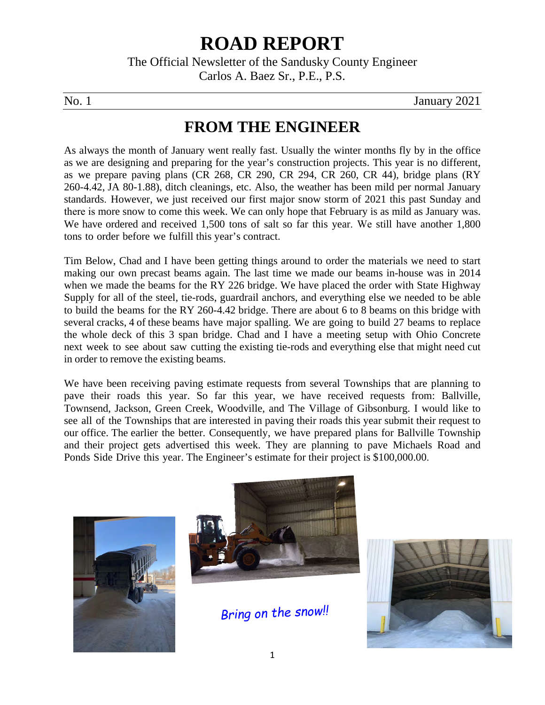# **ROAD REPORT**

The Official Newsletter of the Sandusky County Engineer Carlos A. Baez Sr., P.E., P.S.

No. 1 January 2021

## **FROM THE ENGINEER**

As always the month of January went really fast. Usually the winter months fly by in the office as we are designing and preparing for the year's construction projects. This year is no different, as we prepare paving plans (CR 268, CR 290, CR 294, CR 260, CR 44), bridge plans (RY 260-4.42, JA 80-1.88), ditch cleanings, etc. Also, the weather has been mild per normal January standards. However, we just received our first major snow storm of 2021 this past Sunday and there is more snow to come this week. We can only hope that February is as mild as January was. We have ordered and received 1,500 tons of salt so far this year. We still have another 1,800 tons to order before we fulfill this year's contract.

Tim Below, Chad and I have been getting things around to order the materials we need to start making our own precast beams again. The last time we made our beams in-house was in 2014 when we made the beams for the RY 226 bridge. We have placed the order with State Highway Supply for all of the steel, tie-rods, guardrail anchors, and everything else we needed to be able to build the beams for the RY 260-4.42 bridge. There are about 6 to 8 beams on this bridge with several cracks, 4 of these beams have major spalling. We are going to build 27 beams to replace the whole deck of this 3 span bridge. Chad and I have a meeting setup with Ohio Concrete next week to see about saw cutting the existing tie-rods and everything else that might need cut in order to remove the existing beams.

We have been receiving paving estimate requests from several Townships that are planning to pave their roads this year. So far this year, we have received requests from: Ballville, Townsend, Jackson, Green Creek, Woodville, and The Village of Gibsonburg. I would like to see all of the Townships that are interested in paving their roads this year submit their request to our office. The earlier the better. Consequently, we have prepared plans for Ballville Township and their project gets advertised this week. They are planning to pave Michaels Road and Ponds Side Drive this year. The Engineer's estimate for their project is \$100,000.00.





*Bring on the snow!!*

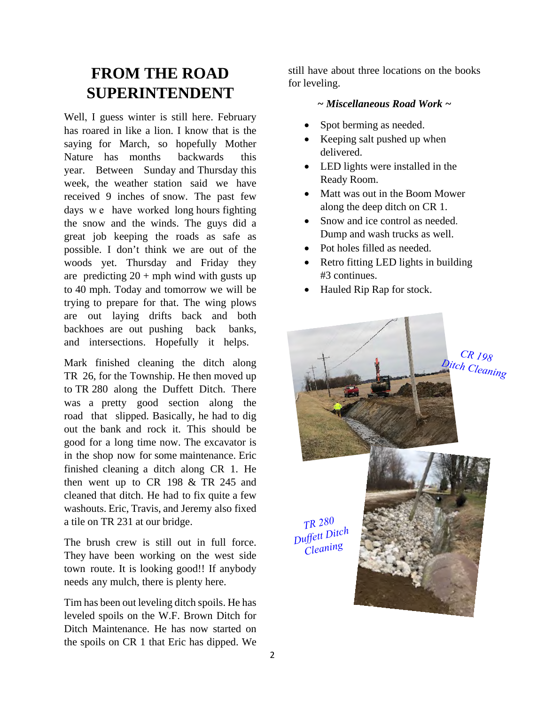# **FROM THE ROAD SUPERINTENDENT**

Well, I guess winter is still here. February has roared in like a lion. I know that is the saying for March, so hopefully Mother Nature has months backwards this year. Between Sunday and Thursday this week, the weather station said we have received 9 inches of snow. The past few days we have worked long hours fighting the snow and the winds. The guys did a great job keeping the roads as safe as possible. I don't think we are out of the woods yet. Thursday and Friday they are predicting  $20 + mph$  wind with gusts up to 40 mph. Today and tomorrow we will be trying to prepare for that. The wing plows are out laying drifts back and both backhoes are out pushing back banks, and intersections. Hopefully it helps.

Mark finished cleaning the ditch along TR 26, for the Township. He then moved up to TR 280 along the Duffett Ditch. There was a pretty good section along the road that slipped. Basically, he had to dig out the bank and rock it. This should be good for a long time now. The excavator is in the shop now for some maintenance. Eric finished cleaning a ditch along CR 1. He then went up to CR 198 & TR 245 and cleaned that ditch. He had to fix quite a few washouts. Eric, Travis, and Jeremy also fixed a tile on TR 231 at our bridge.

The brush crew is still out in full force. They have been working on the west side town route. It is looking good!! If anybody needs any mulch, there is plenty here.

Tim has been out leveling ditch spoils. He has leveled spoils on the W.F. Brown Ditch for Ditch Maintenance. He has now started on the spoils on CR 1 that Eric has dipped. We

still have about three locations on the books for leveling.

#### *~ Miscellaneous Road Work ~*

- Spot berming as needed.
- Keeping salt pushed up when delivered.
- LED lights were installed in the Ready Room.
- Matt was out in the Boom Mower along the deep ditch on CR 1.
- Snow and ice control as needed. Dump and wash trucks as well.
- Pot holes filled as needed.
- Retro fitting LED lights in building #3 continues.
- Hauled Rip Rap for stock.

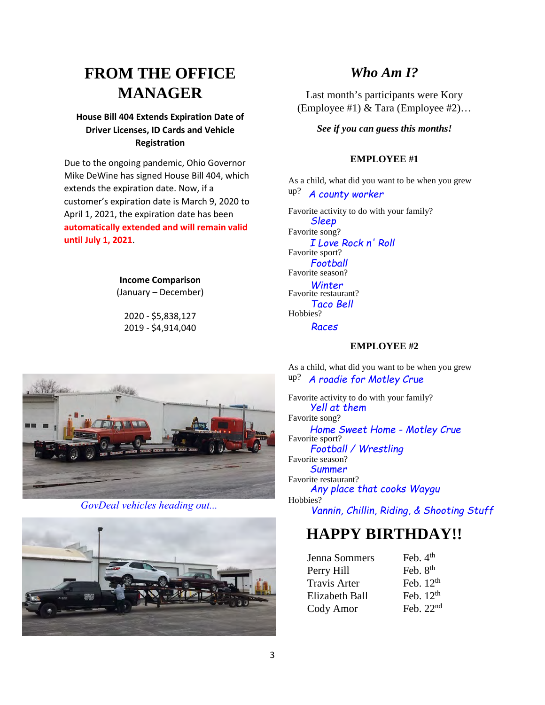# **FROM THE OFFICE MANAGER**

#### **House Bill 404 Extends Expiration Date of Driver Licenses, ID Cards and Vehicle Registration**

Due to the ongoing pandemic, Ohio Governor Mike DeWine has signed House Bill 404, which extends the expiration date. Now, if a customer's expiration date is March 9, 2020 to April 1, 2021, the expiration date has been **automatically extended and will remain valid until July 1, 2021**.

> **Income Comparison** (January – December)

2020 - \$5,838,127 2019 - \$4,914,040

#### *Who Am I?*

Last month's participants were Kory (Employee #1) & Tara (Employee #2)…

*See if you can guess this months!*

#### **EMPLOYEE #1**

As a child, what did you want to be when you grew up? *A county worker*

Favorite activity to do with your family? Favorite song? Favorite sport? Favorite season? Favorite restaurant? Hobbies? *Sleep I Love Rock n' Roll Football Winter Taco Bell Races*

#### **EMPLOYEE #2**

As a child, what did you want to be when you grew up? *A roadie for Motley Crue*

Favorite activity to do with your family? Favorite song? Favorite sport? Favorite season? Favorite restaurant? Hobbies? *Yell at them Home Sweet Home - Motley Crue Football / Wrestling Summer Any place that cooks Waygu Vannin, Chillin, Riding, & Shooting Stuff*

## **HAPPY BIRTHDAY!!**

| Jenna Sommers         | Feb. $4th$  |
|-----------------------|-------------|
| Perry Hill            | Feb. $8th$  |
| <b>Travis Arter</b>   | Feb. $12th$ |
| <b>Elizabeth Ball</b> | Feb. $12th$ |
| Cody Amor             | Feb. $22nd$ |



*GovDeal vehicles heading out...*